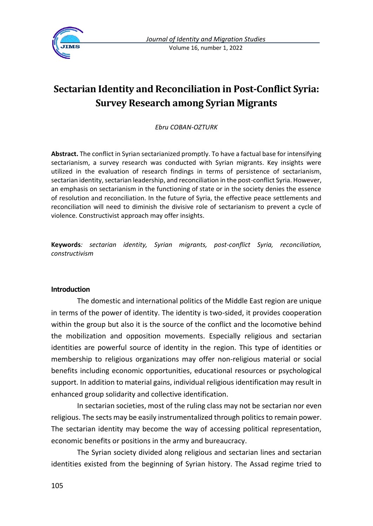

# **Sectarian Identity and Reconciliation in Post-Conflict Syria: Survey Research among Syrian Migrants**

*Ebru COBAN-OZTURK*

**Abstract.** The conflict in Syrian sectarianized promptly. To have a factual base for intensifying sectarianism, a survey research was conducted with Syrian migrants. Key insights were utilized in the evaluation of research findings in terms of persistence of sectarianism, sectarian identity, sectarian leadership, and reconciliation in the post-conflict Syria. However, an emphasis on sectarianism in the functioning of state or in the society denies the essence of resolution and reconciliation. In the future of Syria, the effective peace settlements and reconciliation will need to diminish the divisive role of sectarianism to prevent a cycle of violence. Constructivist approach may offer insights.

**Keywords***: sectarian identity, Syrian migrants, post-conflict Syria, reconciliation, constructivism*

#### **Introduction**

The domestic and international politics of the Middle East region are unique in terms of the power of identity. The identity is two-sided, it provides cooperation within the group but also it is the source of the conflict and the locomotive behind the mobilization and opposition movements. Especially religious and sectarian identities are powerful source of identity in the region. This type of identities or membership to religious organizations may offer non-religious material or social benefits including economic opportunities, educational resources or psychological support. In addition to material gains, individual religious identification may result in enhanced group solidarity and collective identification.

In sectarian societies, most of the ruling class may not be sectarian nor even religious. The sects may be easily instrumentalized through politics to remain power. The sectarian identity may become the way of accessing political representation, economic benefits or positions in the army and bureaucracy.

The Syrian society divided along religious and sectarian lines and sectarian identities existed from the beginning of Syrian history. The Assad regime tried to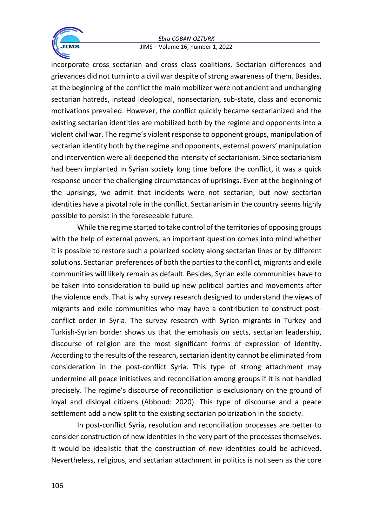#### *Ebru COBAN-OZTURK* JIMS – Volume 16, number 1, 2022



incorporate cross sectarian and cross class coalitions. Sectarian differences and grievances did not turn into a civil war despite of strong awareness of them. Besides, at the beginning of the conflict the main mobilizer were not ancient and unchanging sectarian hatreds, instead ideological, nonsectarian, sub-state, class and economic motivations prevailed. However, the conflict quickly became sectarianized and the existing sectarian identities are mobilized both by the regime and opponents into a violent civil war. The regime's violent response to opponent groups, manipulation of sectarian identity both by the regime and opponents, external powers' manipulation and intervention were all deepened the intensity of sectarianism. Since sectarianism had been implanted in Syrian society long time before the conflict, it was a quick response under the challenging circumstances of uprisings. Even at the beginning of the uprisings, we admit that incidents were not sectarian, but now sectarian identities have a pivotal role in the conflict. Sectarianism in the country seems highly possible to persist in the foreseeable future.

While the regime started to take control of the territories of opposing groups with the help of external powers, an important question comes into mind whether it is possible to restore such a polarized society along sectarian lines or by different solutions. Sectarian preferences of both the parties to the conflict, migrants and exile communities will likely remain as default. Besides, Syrian exile communities have to be taken into consideration to build up new political parties and movements after the violence ends. That is why survey research designed to understand the views of migrants and exile communities who may have a contribution to construct postconflict order in Syria. The survey research with Syrian migrants in Turkey and Turkish-Syrian border shows us that the emphasis on sects, sectarian leadership, discourse of religion are the most significant forms of expression of identity. According to the results of the research, sectarian identity cannot be eliminated from consideration in the post-conflict Syria. This type of strong attachment may undermine all peace initiatives and reconciliation among groups if it is not handled precisely. The regime's discourse of reconciliation is exclusionary on the ground of loyal and disloyal citizens (Abboud: 2020). This type of discourse and a peace settlement add a new split to the existing sectarian polarization in the society.

In post-conflict Syria, resolution and reconciliation processes are better to consider construction of new identities in the very part of the processes themselves. It would be idealistic that the construction of new identities could be achieved. Nevertheless, religious, and sectarian attachment in politics is not seen as the core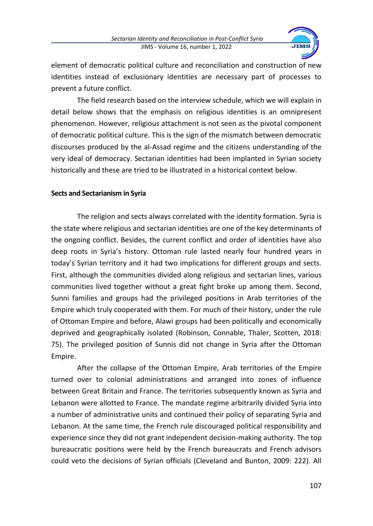

element of democratic political culture and reconciliation and construction of new identities instead of exclusionary identities are necessary part of processes to prevent a future conflict.

The field research based on the interview schedule, which we will explain in detail below shows that the emphasis on religious identities is an omnipresent phenomenon. However, religious attachment is not seen as the pivotal component of democratic political culture. This is the sign of the mismatch between democratic discourses produced by the al-Assad regime and the citizens understanding of the very ideal of democracy. Sectarian identities had been implanted in Syrian society historically and these are tried to be illustrated in a historical context below.

# **Sects and Sectarianism in Syria**

The religion and sects always correlated with the identity formation. Syria is the state where religious and sectarian identities are one of the key determinants of the ongoing conflict. Besides, the current conflict and order of identities have also deep roots in Syria's history. Ottoman rule lasted nearly four hundred years in today's Syrian territory and it had two implications for different groups and sects. First, although the communities divided along religious and sectarian lines, various communities lived together without a great fight broke up among them. Second, Sunni families and groups had the privileged positions in Arab territories of the Empire which truly cooperated with them. For much of their history, under the rule of Ottoman Empire and before, Alawi groups had been politically and economically deprived and geographically isolated (Robinson, Connable, Thaler, Scotten, 2018: 75). The privileged position of Sunnis did not change in Syria after the Ottoman Empire.

After the collapse of the Ottoman Empire, Arab territories of the Empire turned over to colonial administrations and arranged into zones of influence between Great Britain and France. The territories subsequently known as Syria and Lebanon were allotted to France. The mandate regime arbitrarily divided Syria into a number of administrative units and continued their policy of separating Syria and Lebanon. At the same time, the French rule discouraged political responsibility and experience since they did not grant independent decision-making authority. The top bureaucratic positions were held by the French bureaucrats and French advisors could veto the decisions of Syrian officials (Cleveland and Bunton, 2009: 222). All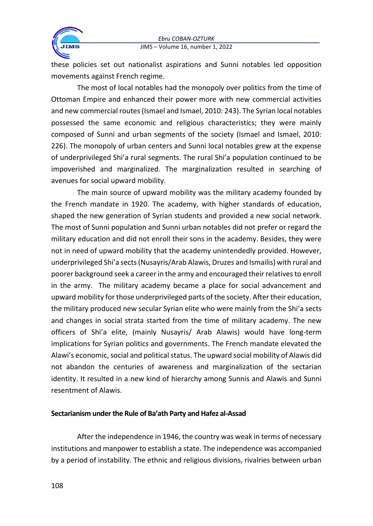

these policies set out nationalist aspirations and Sunni notables led opposition movements against French regime.

The most of local notables had the monopoly over politics from the time of Ottoman Empire and enhanced their power more with new commercial activities and new commercial routes (Ismael and Ismael, 2010: 243). The Syrian local notables possessed the same economic and religious characteristics; they were mainly composed of Sunni and urban segments of the society (Ismael and Ismael, 2010: 226). The monopoly of urban centers and Sunni local notables grew at the expense of underprivileged Shi'a rural segments. The rural Shi'a population continued to be impoverished and marginalized. The marginalization resulted in searching of avenues for social upward mobility.

The main source of upward mobility was the military academy founded by the French mandate in 1920. The academy, with higher standards of education, shaped the new generation of Syrian students and provided a new social network. The most of Sunni population and Sunni urban notables did not prefer or regard the military education and did not enroll their sons in the academy. Besides, they were not in need of upward mobility that the academy unintendedly provided. However, underprivileged Shi'a sects (Nusayris/Arab Alawis, Druzes and Ismailis) with rural and poorer background seek a career in the army and encouraged their relatives to enroll in the army. The military academy became a place for social advancement and upward mobility for those underprivileged parts of the society. After their education, the military produced new secular Syrian elite who were mainly from the Shi'a sects and changes in social strata started from the time of military academy. The new officers of Shi'a elite, (mainly Nusayris/ Arab Alawis) would have long-term implications for Syrian politics and governments. The French mandate elevated the Alawi's economic, social and political status. The upward social mobility of Alawis did not abandon the centuries of awareness and marginalization of the sectarian identity. It resulted in a new kind of hierarchy among Sunnis and Alawis and Sunni resentment of Alawis.

# **Sectarianism under the Rule of Ba'ath Party and Hafez al-Assad**

After the independence in 1946, the country was weak in terms of necessary institutions and manpower to establish a state. The independence was accompanied by a period of instability. The ethnic and religious divisions, rivalries between urban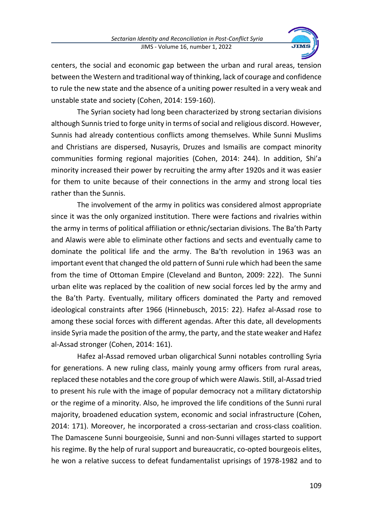

centers, the social and economic gap between the urban and rural areas, tension between the Western and traditional way of thinking, lack of courage and confidence to rule the new state and the absence of a uniting power resulted in a very weak and unstable state and society (Cohen, 2014: 159-160).

The Syrian society had long been characterized by strong sectarian divisions although Sunnis tried to forge unity in terms of social and religious discord. However, Sunnis had already contentious conflicts among themselves. While Sunni Muslims and Christians are dispersed, Nusayris, Druzes and Ismailis are compact minority communities forming regional majorities (Cohen, 2014: 244). In addition, Shi'a minority increased their power by recruiting the army after 1920s and it was easier for them to unite because of their connections in the army and strong local ties rather than the Sunnis.

The involvement of the army in politics was considered almost appropriate since it was the only organized institution. There were factions and rivalries within the army in terms of political affiliation or ethnic/sectarian divisions. The Ba'th Party and Alawis were able to eliminate other factions and sects and eventually came to dominate the political life and the army. The Ba'th revolution in 1963 was an important event that changed the old pattern of Sunni rule which had been the same from the time of Ottoman Empire (Cleveland and Bunton, 2009: 222). The Sunni urban elite was replaced by the coalition of new social forces led by the army and the Ba'th Party. Eventually, military officers dominated the Party and removed ideological constraints after 1966 (Hinnebusch, 2015: 22). Hafez al-Assad rose to among these social forces with different agendas. After this date, all developments inside Syria made the position of the army, the party, and the state weaker and Hafez al-Assad stronger (Cohen, 2014: 161).

Hafez al-Assad removed urban oligarchical Sunni notables controlling Syria for generations. A new ruling class, mainly young army officers from rural areas, replaced these notables and the core group of which were Alawis. Still, al-Assad tried to present his rule with the image of popular democracy not a military dictatorship or the regime of a minority. Also, he improved the life conditions of the Sunni rural majority, broadened education system, economic and social infrastructure (Cohen, 2014: 171). Moreover, he incorporated a cross-sectarian and cross-class coalition. The Damascene Sunni bourgeoisie, Sunni and non-Sunni villages started to support his regime. By the help of rural support and bureaucratic, co-opted bourgeois elites, he won a relative success to defeat fundamentalist uprisings of 1978-1982 and to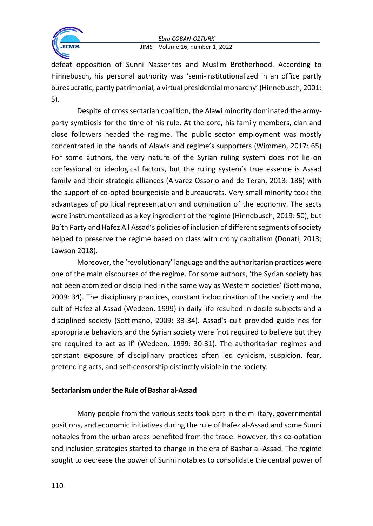



defeat opposition of Sunni Nasserites and Muslim Brotherhood. According to Hinnebusch, his personal authority was 'semi-institutionalized in an office partly bureaucratic, partly patrimonial, a virtual presidential monarchy' (Hinnebusch, 2001: 5).

Despite of cross sectarian coalition, the Alawi minority dominated the armyparty symbiosis for the time of his rule. At the core, his family members, clan and close followers headed the regime. The public sector employment was mostly concentrated in the hands of Alawis and regime's supporters (Wimmen, 2017: 65) For some authors, the very nature of the Syrian ruling system does not lie on confessional or ideological factors, but the ruling system's true essence is Assad family and their strategic alliances (Alvarez-Ossorio and de Teran, 2013: 186) with the support of co-opted bourgeoisie and bureaucrats. Very small minority took the advantages of political representation and domination of the economy. The sects were instrumentalized as a key ingredient of the regime (Hinnebusch, 2019: 50), but Ba'th Party and Hafez All Assad's policies of inclusion of different segments of society helped to preserve the regime based on class with crony capitalism (Donati, 2013; Lawson 2018).

Moreover, the 'revolutionary' language and the authoritarian practices were one of the main discourses of the regime. For some authors, 'the Syrian society has not been atomized or disciplined in the same way as Western societies' (Sottimano, 2009: 34). The disciplinary practices, constant indoctrination of the society and the cult of Hafez al-Assad (Wedeen, 1999) in daily life resulted in docile subjects and a disciplined society (Sottimano, 2009: 33-34). Assad's cult provided guidelines for appropriate behaviors and the Syrian society were 'not required to believe but they are required to act as if' (Wedeen, 1999: 30-31). The authoritarian regimes and constant exposure of disciplinary practices often led cynicism, suspicion, fear, pretending acts, and self-censorship distinctly visible in the society.

# **Sectarianism under the Rule of Bashar al-Assad**

Many people from the various sects took part in the military, governmental positions, and economic initiatives during the rule of Hafez al-Assad and some Sunni notables from the urban areas benefited from the trade. However, this co-optation and inclusion strategies started to change in the era of Bashar al-Assad. The regime sought to decrease the power of Sunni notables to consolidate the central power of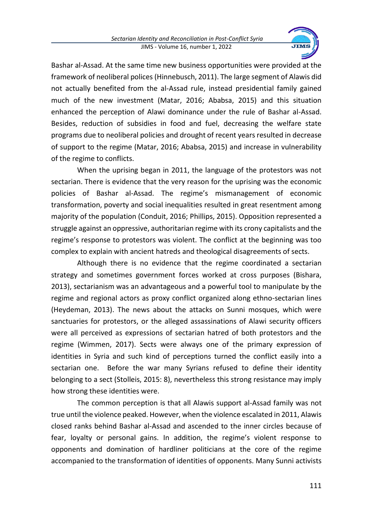

Bashar al-Assad. At the same time new business opportunities were provided at the framework of neoliberal polices (Hinnebusch, 2011). The large segment of Alawis did not actually benefited from the al-Assad rule, instead presidential family gained much of the new investment (Matar, 2016; Ababsa, 2015) and this situation enhanced the perception of Alawi dominance under the rule of Bashar al-Assad. Besides, reduction of subsidies in food and fuel, decreasing the welfare state programs due to neoliberal policies and drought of recent years resulted in decrease of support to the regime (Matar, 2016; Ababsa, 2015) and increase in vulnerability of the regime to conflicts.

When the uprising began in 2011, the language of the protestors was not sectarian. There is evidence that the very reason for the uprising was the economic policies of Bashar al-Assad. The regime's mismanagement of economic transformation, poverty and social inequalities resulted in great resentment among majority of the population (Conduit, 2016; Phillips, 2015). Opposition represented a struggle against an oppressive, authoritarian regime with its crony capitalists and the regime's response to protestors was violent. The conflict at the beginning was too complex to explain with ancient hatreds and theological disagreements of sects.

Although there is no evidence that the regime coordinated a sectarian strategy and sometimes government forces worked at cross purposes (Bishara, 2013), sectarianism was an advantageous and a powerful tool to manipulate by the regime and regional actors as proxy conflict organized along ethno-sectarian lines (Heydeman, 2013). The news about the attacks on Sunni mosques, which were sanctuaries for protestors, or the alleged assassinations of Alawi security officers were all perceived as expressions of sectarian hatred of both protestors and the regime (Wimmen, 2017). Sects were always one of the primary expression of identities in Syria and such kind of perceptions turned the conflict easily into a sectarian one. Before the war many Syrians refused to define their identity belonging to a sect (Stolleis, 2015: 8), nevertheless this strong resistance may imply how strong these identities were.

The common perception is that all Alawis support al-Assad family was not true until the violence peaked. However, when the violence escalated in 2011, Alawis closed ranks behind Bashar al-Assad and ascended to the inner circles because of fear, loyalty or personal gains. In addition, the regime's violent response to opponents and domination of hardliner politicians at the core of the regime accompanied to the transformation of identities of opponents. Many Sunni activists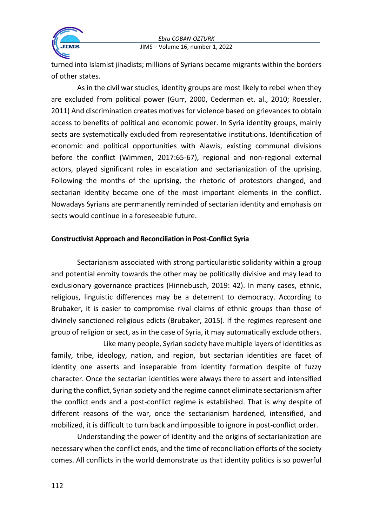

turned into Islamist jihadists; millions of Syrians became migrants within the borders of other states.

As in the civil war studies, identity groups are most likely to rebel when they are excluded from political power (Gurr, 2000, Cederman et. al., 2010; Roessler, 2011) And discrimination creates motives for violence based on grievances to obtain access to benefits of political and economic power. In Syria identity groups, mainly sects are systematically excluded from representative institutions. Identification of economic and political opportunities with Alawis, existing communal divisions before the conflict (Wimmen, 2017:65-67), regional and non-regional external actors, played significant roles in escalation and sectarianization of the uprising. Following the months of the uprising, the rhetoric of protestors changed, and sectarian identity became one of the most important elements in the conflict. Nowadays Syrians are permanently reminded of sectarian identity and emphasis on sects would continue in a foreseeable future.

# **Constructivist Approach and Reconciliation in Post-Conflict Syria**

Sectarianism associated with strong particularistic solidarity within a group and potential enmity towards the other may be politically divisive and may lead to exclusionary governance practices (Hinnebusch, 2019: 42). In many cases, ethnic, religious, linguistic differences may be a deterrent to democracy. According to Brubaker, it is easier to compromise rival claims of ethnic groups than those of divinely sanctioned religious edicts (Brubaker, 2015). If the regimes represent one group of religion or sect, as in the case of Syria, it may automatically exclude others.

Like many people, Syrian society have multiple layers of identities as family, tribe, ideology, nation, and region, but sectarian identities are facet of identity one asserts and inseparable from identity formation despite of fuzzy character. Once the sectarian identities were always there to assert and intensified during the conflict, Syrian society and the regime cannot eliminate sectarianism after the conflict ends and a post-conflict regime is established. That is why despite of different reasons of the war, once the sectarianism hardened, intensified, and mobilized, it is difficult to turn back and impossible to ignore in post-conflict order.

Understanding the power of identity and the origins of sectarianization are necessary when the conflict ends, and the time of reconciliation efforts of the society comes. All conflicts in the world demonstrate us that identity politics is so powerful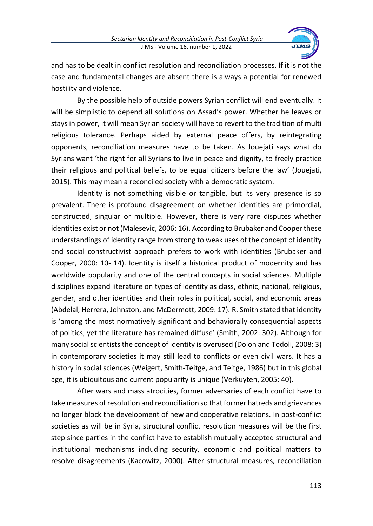

and has to be dealt in conflict resolution and reconciliation processes. If it is not the case and fundamental changes are absent there is always a potential for renewed hostility and violence.

By the possible help of outside powers Syrian conflict will end eventually. It will be simplistic to depend all solutions on Assad's power. Whether he leaves or stays in power, it will mean Syrian society will have to revert to the tradition of multi religious tolerance. Perhaps aided by external peace offers, by reintegrating opponents, reconciliation measures have to be taken. As Jouejati says what do Syrians want 'the right for all Syrians to live in peace and dignity, to freely practice their religious and political beliefs, to be equal citizens before the law' (Jouejati, 2015). This may mean a reconciled society with a democratic system.

Identity is not something visible or tangible, but its very presence is so prevalent. There is profound disagreement on whether identities are primordial, constructed, singular or multiple. However, there is very rare disputes whether identities exist or not (Malesevic, 2006: 16). According to Brubaker and Cooper these understandings of identity range from strong to weak uses of the concept of identity and social constructivist approach prefers to work with identities (Brubaker and Cooper, 2000: 10- 14). Identity is itself a historical product of modernity and has worldwide popularity and one of the central concepts in social sciences. Multiple disciplines expand literature on types of identity as class, ethnic, national, religious, gender, and other identities and their roles in political, social, and economic areas (Abdelal, Herrera, Johnston, and McDermott, 2009: 17). R. Smith stated that identity is 'among the most normatively significant and behaviorally consequential aspects of politics, yet the literature has remained diffuse' (Smith, 2002: 302). Although for many social scientists the concept of identity is overused (Dolon and Todoli, 2008: 3) in contemporary societies it may still lead to conflicts or even civil wars. It has a history in social sciences (Weigert, Smith-Teitge, and Teitge, 1986) but in this global age, it is ubiquitous and current popularity is unique (Verkuyten, 2005: 40).

After wars and mass atrocities, former adversaries of each conflict have to take measures of resolution and reconciliation so that former hatreds and grievances no longer block the development of new and cooperative relations. In post-conflict societies as will be in Syria, structural conflict resolution measures will be the first step since parties in the conflict have to establish mutually accepted structural and institutional mechanisms including security, economic and political matters to resolve disagreements (Kacowitz, 2000). After structural measures, reconciliation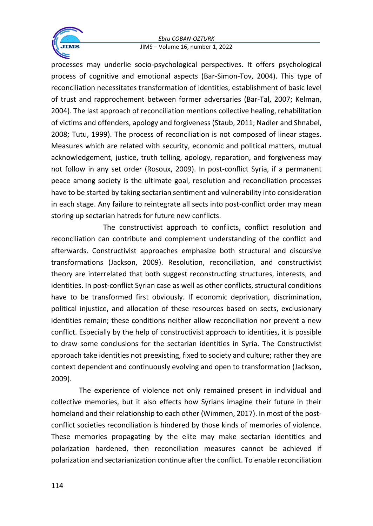#### *Ebru COBAN-OZTURK* JIMS – Volume 16, number 1, 2022



processes may underlie socio-psychological perspectives. It offers psychological process of cognitive and emotional aspects (Bar-Simon-Tov, 2004). This type of reconciliation necessitates transformation of identities, establishment of basic level of trust and rapprochement between former adversaries (Bar-Tal, 2007; Kelman, 2004). The last approach of reconciliation mentions collective healing, rehabilitation of victims and offenders, apology and forgiveness (Staub, 2011; Nadler and Shnabel, 2008; Tutu, 1999). The process of reconciliation is not composed of linear stages. Measures which are related with security, economic and political matters, mutual acknowledgement, justice, truth telling, apology, reparation, and forgiveness may not follow in any set order (Rosoux, 2009). In post-conflict Syria, if a permanent peace among society is the ultimate goal, resolution and reconciliation processes have to be started by taking sectarian sentiment and vulnerability into consideration in each stage. Any failure to reintegrate all sects into post-conflict order may mean storing up sectarian hatreds for future new conflicts.

The constructivist approach to conflicts, conflict resolution and reconciliation can contribute and complement understanding of the conflict and afterwards. Constructivist approaches emphasize both structural and discursive transformations (Jackson, 2009). Resolution, reconciliation, and constructivist theory are interrelated that both suggest reconstructing structures, interests, and identities. In post-conflict Syrian case as well as other conflicts, structural conditions have to be transformed first obviously. If economic deprivation, discrimination, political injustice, and allocation of these resources based on sects, exclusionary identities remain; these conditions neither allow reconciliation nor prevent a new conflict. Especially by the help of constructivist approach to identities, it is possible to draw some conclusions for the sectarian identities in Syria. The Constructivist approach take identities not preexisting, fixed to society and culture; rather they are context dependent and continuously evolving and open to transformation (Jackson, 2009).

The experience of violence not only remained present in individual and collective memories, but it also effects how Syrians imagine their future in their homeland and their relationship to each other (Wimmen, 2017). In most of the postconflict societies reconciliation is hindered by those kinds of memories of violence. These memories propagating by the elite may make sectarian identities and polarization hardened, then reconciliation measures cannot be achieved if polarization and sectarianization continue after the conflict. To enable reconciliation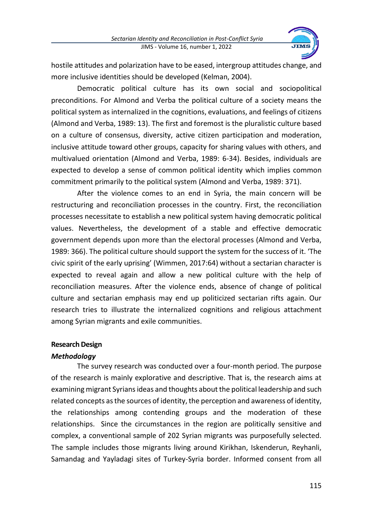

hostile attitudes and polarization have to be eased, intergroup attitudes change, and more inclusive identities should be developed (Kelman, 2004).

Democratic political culture has its own social and sociopolitical preconditions. For Almond and Verba the political culture of a society means the political system as internalized in the cognitions, evaluations, and feelings of citizens (Almond and Verba, 1989: 13). The first and foremost is the pluralistic culture based on a culture of consensus, diversity, active citizen participation and moderation, inclusive attitude toward other groups, capacity for sharing values with others, and multivalued orientation (Almond and Verba, 1989: 6-34). Besides, individuals are expected to develop a sense of common political identity which implies common commitment primarily to the political system (Almond and Verba, 1989: 371).

After the violence comes to an end in Syria, the main concern will be restructuring and reconciliation processes in the country. First, the reconciliation processes necessitate to establish a new political system having democratic political values. Nevertheless, the development of a stable and effective democratic government depends upon more than the electoral processes (Almond and Verba, 1989: 366). The political culture should support the system for the success of it. 'The civic spirit of the early uprising' (Wimmen, 2017:64) without a sectarian character is expected to reveal again and allow a new political culture with the help of reconciliation measures. After the violence ends, absence of change of political culture and sectarian emphasis may end up politicized sectarian rifts again. Our research tries to illustrate the internalized cognitions and religious attachment among Syrian migrants and exile communities.

# **Research Design**

# *Methodology*

The survey research was conducted over a four-month period. The purpose of the research is mainly explorative and descriptive. That is, the research aims at examining migrant Syrians ideas and thoughts about the political leadership and such related concepts as the sources of identity, the perception and awareness of identity, the relationships among contending groups and the moderation of these relationships. Since the circumstances in the region are politically sensitive and complex, a conventional sample of 202 Syrian migrants was purposefully selected. The sample includes those migrants living around Kirikhan, Iskenderun, Reyhanli, Samandag and Yayladagi sites of Turkey-Syria border. Informed consent from all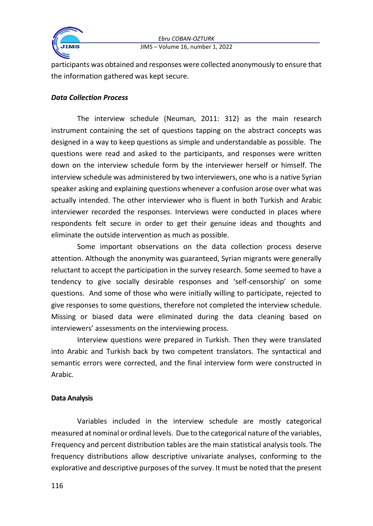

participants was obtained and responses were collected anonymously to ensure that the information gathered was kept secure.

#### *Data Collection Process*

The interview schedule (Neuman, 2011: 312) as the main research instrument containing the set of questions tapping on the abstract concepts was designed in a way to keep questions as simple and understandable as possible. The questions were read and asked to the participants, and responses were written down on the interview schedule form by the interviewer herself or himself. The interview schedule was administered by two interviewers, one who is a native Syrian speaker asking and explaining questions whenever a confusion arose over what was actually intended. The other interviewer who is fluent in both Turkish and Arabic interviewer recorded the responses. Interviews were conducted in places where respondents felt secure in order to get their genuine ideas and thoughts and eliminate the outside intervention as much as possible.

Some important observations on the data collection process deserve attention. Although the anonymity was guaranteed, Syrian migrants were generally reluctant to accept the participation in the survey research. Some seemed to have a tendency to give socially desirable responses and 'self-censorship' on some questions. And some of those who were initially willing to participate, rejected to give responses to some questions, therefore not completed the interview schedule. Missing or biased data were eliminated during the data cleaning based on interviewers' assessments on the interviewing process.

Interview questions were prepared in Turkish. Then they were translated into Arabic and Turkish back by two competent translators. The syntactical and semantic errors were corrected, and the final interview form were constructed in Arabic.

#### **Data Analysis**

Variables included in the interview schedule are mostly categorical measured at nominal or ordinal levels. Due to the categorical nature of the variables, Frequency and percent distribution tables are the main statistical analysis tools. The frequency distributions allow descriptive univariate analyses, conforming to the explorative and descriptive purposes of the survey. It must be noted that the present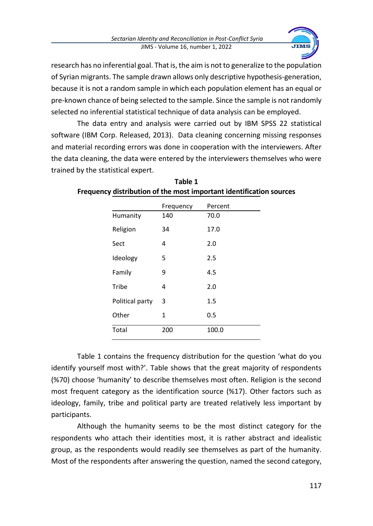

research has no inferential goal. That is, the aim is not to generalize to the population of Syrian migrants. The sample drawn allows only descriptive hypothesis-generation, because it is not a random sample in which each population element has an equal or pre-known chance of being selected to the sample. Since the sample is not randomly selected no inferential statistical technique of data analysis can be employed.

The data entry and analysis were carried out by IBM SPSS 22 statistical software (IBM Corp. Released, 2013). Data cleaning concerning missing responses and material recording errors was done in cooperation with the interviewers. After the data cleaning, the data were entered by the interviewers themselves who were trained by the statistical expert.

|                 | Frequency    | Percent |
|-----------------|--------------|---------|
| Humanity        | 140          | 70.0    |
| Religion        | 34           | 17.0    |
| Sect            | 4            | 2.0     |
| Ideology        | 5            | 2.5     |
| Family          | 9            | 4.5     |
| Tribe           | 4            | 2.0     |
| Political party | 3            | 1.5     |
| Other           | $\mathbf{1}$ | 0.5     |
| Total           | 200          | 100.0   |

| Table 1                                                             |
|---------------------------------------------------------------------|
| Frequency distribution of the most important identification sources |

Table 1 contains the frequency distribution for the question 'what do you identify yourself most with?'. Table shows that the great majority of respondents (%70) choose 'humanity' to describe themselves most often. Religion is the second most frequent category as the identification source (%17). Other factors such as ideology, family, tribe and political party are treated relatively less important by participants.

Although the humanity seems to be the most distinct category for the respondents who attach their identities most, it is rather abstract and idealistic group, as the respondents would readily see themselves as part of the humanity. Most of the respondents after answering the question, named the second category,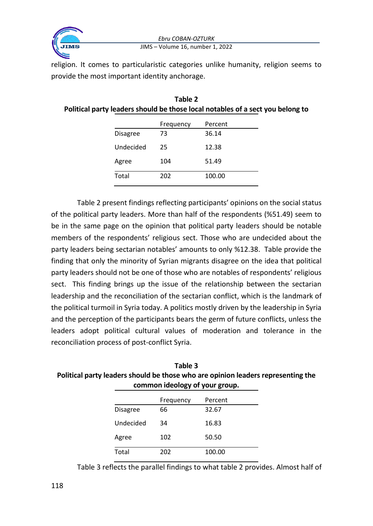

#### *Ebru COBAN-OZTURK* JIMS – Volume 16, number 1, 2022

religion. It comes to particularistic categories unlike humanity, religion seems to provide the most important identity anchorage.

| Table 2                                                                        |
|--------------------------------------------------------------------------------|
| Political party leaders should be those local notables of a sect you belong to |

|                 | Frequency | Percent |
|-----------------|-----------|---------|
| <b>Disagree</b> | 73        | 36.14   |
| Undecided       | 25        | 12.38   |
| Agree           | 104       | 51.49   |
| Total           | 202       | 100.00  |

Table 2 present findings reflecting participants' opinions on the social status of the political party leaders. More than half of the respondents (%51.49) seem to be in the same page on the opinion that political party leaders should be notable members of the respondents' religious sect. Those who are undecided about the party leaders being sectarian notables' amounts to only %12.38. Table provide the finding that only the minority of Syrian migrants disagree on the idea that political party leaders should not be one of those who are notables of respondents' religious sect. This finding brings up the issue of the relationship between the sectarian leadership and the reconciliation of the sectarian conflict, which is the landmark of the political turmoil in Syria today. A politics mostly driven by the leadership in Syria and the perception of the participants bears the germ of future conflicts, unless the leaders adopt political cultural values of moderation and tolerance in the reconciliation process of post-conflict Syria.

| Table 3                                                                          |
|----------------------------------------------------------------------------------|
| Political party leaders should be those who are opinion leaders representing the |
| common ideology of your group.                                                   |

|                 | Frequency | Percent |
|-----------------|-----------|---------|
| <b>Disagree</b> | 66        | 32.67   |
| Undecided       | 34        | 16.83   |
| Agree           | 102       | 50.50   |
| Total           | 202       | 100.00  |

Table 3 reflects the parallel findings to what table 2 provides. Almost half of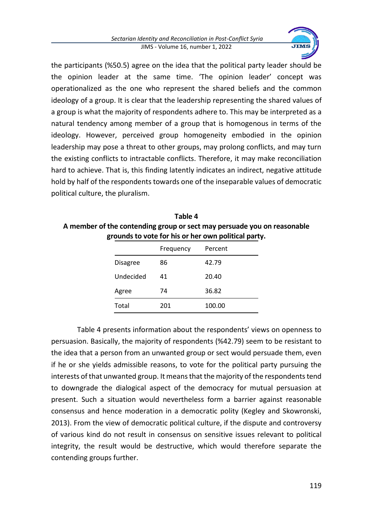

the participants (%50.5) agree on the idea that the political party leader should be the opinion leader at the same time. 'The opinion leader' concept was operationalized as the one who represent the shared beliefs and the common ideology of a group. It is clear that the leadership representing the shared values of a group is what the majority of respondents adhere to. This may be interpreted as a natural tendency among member of a group that is homogenous in terms of the ideology. However, perceived group homogeneity embodied in the opinion leadership may pose a threat to other groups, may prolong conflicts, and may turn the existing conflicts to intractable conflicts. Therefore, it may make reconciliation hard to achieve. That is, this finding latently indicates an indirect, negative attitude hold by half of the respondents towards one of the inseparable values of democratic political culture, the pluralism.

| Table 4                                                                 |
|-------------------------------------------------------------------------|
| A member of the contending group or sect may persuade you on reasonable |
| grounds to vote for his or her own political party.                     |

|                 | Frequency | Percent |
|-----------------|-----------|---------|
| <b>Disagree</b> | 86        | 42.79   |
| Undecided       | 41        | 20.40   |
| Agree           | 74        | 36.82   |
| Total           | 201       | 100.00  |

Table 4 presents information about the respondents' views on openness to persuasion. Basically, the majority of respondents (%42.79) seem to be resistant to the idea that a person from an unwanted group or sect would persuade them, even if he or she yields admissible reasons, to vote for the political party pursuing the interests of that unwanted group. It means that the majority of the respondents tend to downgrade the dialogical aspect of the democracy for mutual persuasion at present. Such a situation would nevertheless form a barrier against reasonable consensus and hence moderation in a democratic polity (Kegley and Skowronski, 2013). From the view of democratic political culture, if the dispute and controversy of various kind do not result in consensus on sensitive issues relevant to political integrity, the result would be destructive, which would therefore separate the contending groups further.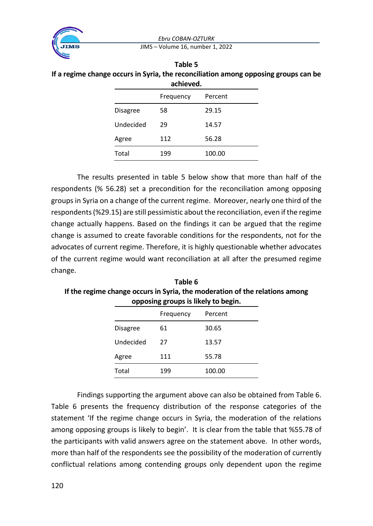*Ebru COBAN-OZTURK*



JIMS – Volume 16, number 1, 2022

| Table 5                                                                             |
|-------------------------------------------------------------------------------------|
| If a regime change occurs in Syria, the reconciliation among opposing groups can be |
| achieved.                                                                           |

|                 | Frequency | Percent |
|-----------------|-----------|---------|
| <b>Disagree</b> | 58        | 29.15   |
| Undecided       | 29        | 14.57   |
| Agree           | 112       | 56.28   |
| Total           | 199       | 100.00  |

The results presented in table 5 below show that more than half of the respondents (% 56.28) set a precondition for the reconciliation among opposing groups in Syria on a change of the current regime. Moreover, nearly one third of the respondents (%29.15) are still pessimistic about the reconciliation, even if the regime change actually happens. Based on the findings it can be argued that the regime change is assumed to create favorable conditions for the respondents, not for the advocates of current regime. Therefore, it is highly questionable whether advocates of the current regime would want reconciliation at all after the presumed regime change.

**Table 6 If the regime change occurs in Syria, the moderation of the relations among opposing groups is likely to begin.**

| . .             | ັ         |         |  |
|-----------------|-----------|---------|--|
|                 | Frequency | Percent |  |
| <b>Disagree</b> | 61        | 30.65   |  |
| Undecided       | 27        | 13.57   |  |
| Agree           | 111       | 55.78   |  |
| Total           | 199       | 100.00  |  |

Findings supporting the argument above can also be obtained from Table 6. Table 6 presents the frequency distribution of the response categories of the statement 'If the regime change occurs in Syria, the moderation of the relations among opposing groups is likely to begin'. It is clear from the table that %55.78 of the participants with valid answers agree on the statement above. In other words, more than half of the respondents see the possibility of the moderation of currently conflictual relations among contending groups only dependent upon the regime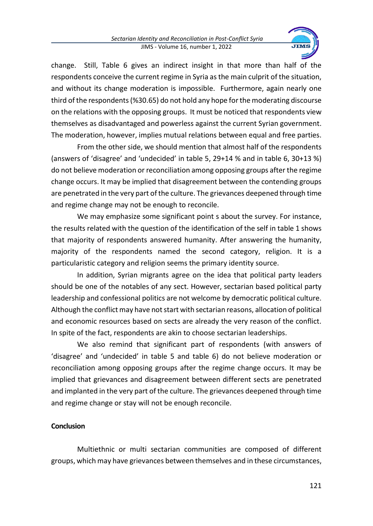

change. Still, Table 6 gives an indirect insight in that more than half of the respondents conceive the current regime in Syria as the main culprit of the situation, and without its change moderation is impossible. Furthermore, again nearly one third of the respondents (%30.65) do not hold any hope for the moderating discourse on the relations with the opposing groups. It must be noticed that respondents view themselves as disadvantaged and powerless against the current Syrian government. The moderation, however, implies mutual relations between equal and free parties.

From the other side, we should mention that almost half of the respondents (answers of 'disagree' and 'undecided' in table 5, 29+14 % and in table 6, 30+13 %) do not believe moderation or reconciliation among opposing groups after the regime change occurs. It may be implied that disagreement between the contending groups are penetrated in the very part of the culture. The grievances deepened through time and regime change may not be enough to reconcile.

We may emphasize some significant point s about the survey. For instance, the results related with the question of the identification of the self in table 1 shows that majority of respondents answered humanity. After answering the humanity, majority of the respondents named the second category, religion. It is a particularistic category and religion seems the primary identity source.

In addition, Syrian migrants agree on the idea that political party leaders should be one of the notables of any sect. However, sectarian based political party leadership and confessional politics are not welcome by democratic political culture. Although the conflict may have not start with sectarian reasons, allocation of political and economic resources based on sects are already the very reason of the conflict. In spite of the fact, respondents are akin to choose sectarian leaderships.

We also remind that significant part of respondents (with answers of 'disagree' and 'undecided' in table 5 and table 6) do not believe moderation or reconciliation among opposing groups after the regime change occurs. It may be implied that grievances and disagreement between different sects are penetrated and implanted in the very part of the culture. The grievances deepened through time and regime change or stay will not be enough reconcile.

# **Conclusion**

Multiethnic or multi sectarian communities are composed of different groups, which may have grievances between themselves and in these circumstances,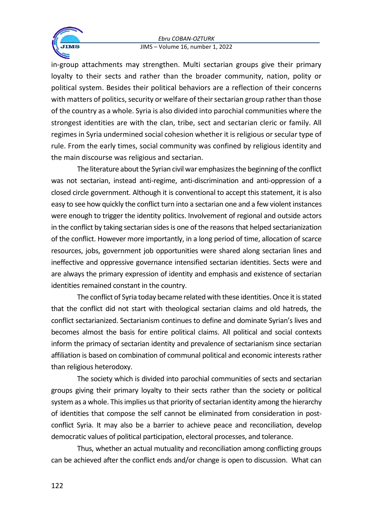#### *Ebru COBAN-OZTURK* JIMS – Volume 16, number 1, 2022



in-group attachments may strengthen. Multi sectarian groups give their primary loyalty to their sects and rather than the broader community, nation, polity or political system. Besides their political behaviors are a reflection of their concerns with matters of politics, security or welfare of their sectarian group rather than those of the country as a whole. Syria is also divided into parochial communities where the strongest identities are with the clan, tribe, sect and sectarian cleric or family. All regimes in Syria undermined social cohesion whether it is religious or secular type of rule. From the early times, social community was confined by religious identity and

the main discourse was religious and sectarian.

The literature about the Syrian civil war emphasizes the beginning of the conflict was not sectarian, instead anti-regime, anti-discrimination and anti-oppression of a closed circle government. Although it is conventional to accept this statement, it is also easy to see how quickly the conflict turn into a sectarian one and a few violent instances were enough to trigger the identity politics. Involvement of regional and outside actors in the conflict by taking sectarian sides is one of the reasons that helped sectarianization of the conflict. However more importantly, in a long period of time, allocation of scarce resources, jobs, government job opportunities were shared along sectarian lines and ineffective and oppressive governance intensified sectarian identities. Sects were and are always the primary expression of identity and emphasis and existence of sectarian identities remained constant in the country.

The conflict of Syria today became related with these identities. Once it is stated that the conflict did not start with theological sectarian claims and old hatreds, the conflict sectarianized. Sectarianism continues to define and dominate Syrian's lives and becomes almost the basis for entire political claims. All political and social contexts inform the primacy of sectarian identity and prevalence of sectarianism since sectarian affiliation is based on combination of communal political and economic interests rather than religious heterodoxy.

The society which is divided into parochial communities of sects and sectarian groups giving their primary loyalty to their sects rather than the society or political system as a whole. This implies us that priority of sectarian identity among the hierarchy of identities that compose the self cannot be eliminated from consideration in postconflict Syria. It may also be a barrier to achieve peace and reconciliation, develop democratic values of political participation, electoral processes, and tolerance.

Thus, whether an actual mutuality and reconciliation among conflicting groups can be achieved after the conflict ends and/or change is open to discussion. What can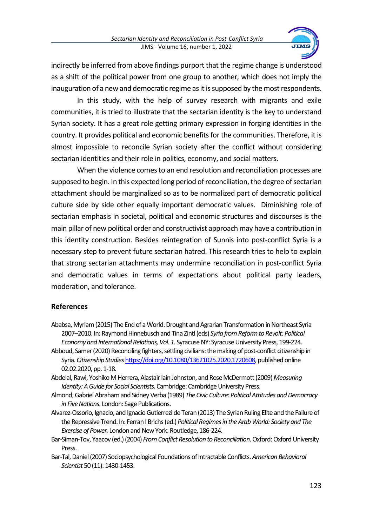

indirectly be inferred from above findings purport that the regime change is understood as a shift of the political power from one group to another, which does not imply the inauguration of a new and democratic regime as it is supposed by the most respondents.

In this study, with the help of survey research with migrants and exile communities, it is tried to illustrate that the sectarian identity is the key to understand Syrian society. It has a great role getting primary expression in forging identities in the country. It provides political and economic benefits for the communities. Therefore, it is almost impossible to reconcile Syrian society after the conflict without considering sectarian identities and their role in politics, economy, and social matters.

When the violence comes to an end resolution and reconciliation processes are supposed to begin. In this expected long period of reconciliation, the degree of sectarian attachment should be marginalized so as to be normalized part of democratic political culture side by side other equally important democratic values. Diminishing role of sectarian emphasis in societal, political and economic structures and discourses is the main pillar of new political order and constructivist approach may have a contribution in this identity construction. Besides reintegration of Sunnis into post-conflict Syria is a necessary step to prevent future sectarian hatred. This research tries to help to explain that strong sectarian attachments may undermine reconciliation in post-conflict Syria and democratic values in terms of expectations about political party leaders, moderation, and tolerance.

#### **References**

- Ababsa, Myriam (2015) The End of a World: Drought and Agrarian Transformation in Northeast Syria 2007–2010. In: Raymond Hinnebusch and Tina Zintl (eds) *Syria from Reform to Revolt: Political Economy and International Relations, Vol. 1.* SyracuseNY: Syracuse University Press, 199-224.
- Abboud, Samer (2020) Reconciling fighters, settling civilians: the making of post-conflict citizenship in Syria. *Citizenship Studies*[https://doi.org/10.1080/13621025.2020.1720608,](https://doi.org/10.1080/13621025.2020.1720608) published online 02.02.2020, pp. 1-18.
- Abdelal, Rawi, Yoshiko M Herrera, Alastair Iain Johnston, and Rose McDermott (2009) *Measuring Identity: A Guide for Social Scientists.* Cambridge: Cambridge University Press.
- Almond, Gabriel Abraham and Sidney Verba (1989) *The Civic Culture: Political Attitudes and Democracy in Five Nations*. London: Sage Publications.
- Alvarez-Ossorio, Ignacio, and Ignacio Gutierrezi de Teran (2013) The Syrian Ruling Elite and the Failure of the Repressive Trend. In: Ferran I Brichs (ed.) *Political Regimes in the Arab World: Society and The Exercise of Power.* London and New York: Routledge, 186-224.
- Bar-Siman-Tov, Yaacov (ed.) (2004) *From Conflict Resolution to Reconciliation*. Oxford: Oxford University **Press**
- Bar-Tal, Daniel (2007) Sociopsychological Foundations of Intractable Conflicts. *American Behavioral Scientist* 50 (11): 1430-1453.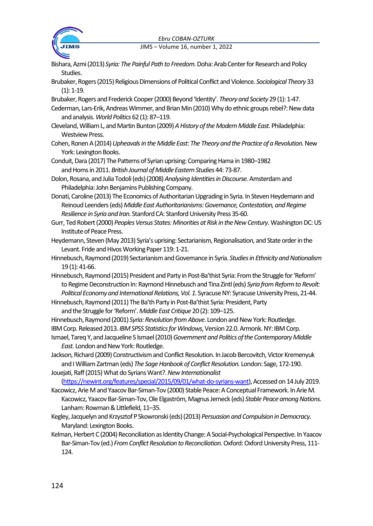#### *Ebru COBAN-OZTURK*



JIMS – Volume 16, number 1, 2022

- Bishara, Azmi (2013) *Syria: The Painful Path to Freedom.* Doha: Arab Center for Research and Policy Studies.
- Brubaker, Rogers (2015) Religious Dimensions of Political Conflict and Violence. *Sociological Theory* 33 (1): 1-19.
- Brubaker, Rogers and Frederick Cooper (2000) Beyond 'Identity'. *Theory and Society* 29 (1): 1-47.
- Cederman, Lars-Erik, Andreas Wimmer, and Brian Min (2010) Why do ethnic groups rebel?: New data and analysis. *World Politics* 62 (1): 87–119.
- Cleveland, William L, and Martin Bunton (2009) *A History of the Modern Middle East.* Philadelphia: Westview Press.
- Cohen, Ronen A (2014) *Upheavals in the Middle East: The Theory and the Practice of a Revolution.*New York: Lexington Books.
- Conduit, Dara (2017) The Patterns of Syrian uprising: Comparing Hama in 1980–1982 and Homs in 2011. *British Journal of Middle Eastern Studies* 44: 73-87.
- Dolon, Rosana, and Julia Todoli (eds) (2008) *Analysing Identities in Discourse.* Amsterdam and Philadelphia: John Benjamins Publishing Company.
- Donati, Caroline (2013) The Economics of Authoritarian Upgrading in Syria. In Steven Heydemann and Reinoud Leenders (eds) *Middle East Authoritarianisms: Governance, Contestation, and Regime Resilience in Syria and Iran.* Stanford CA: Stanford University Press 35-60.
- Gurr, Ted Robert (2000) *Peoples Versus States: Minorities at Risk in the New Century*. Washington DC: US Institute of Peace Press.
- Heydemann, Steven (May 2013) Syria's uprising: Sectarianism, Regionalisation, and State order in the Levant. Fride and Hivos Working Paper 119: 1-21.
- Hinnebusch, Raymond (2019) Sectarianism and Governance in Syria. *Studies in Ethnicity and Nationalism* 19 (1): 41-66.
- Hinnebusch, Raymond (2015) President and Party in Post-Ba'thist Syria: From the Struggle for 'Reform' to Regime Deconstruction In: Raymond Hinnebusch and Tina Zintl (eds) *Syria from Reform to Revolt:*  Political Economy and International Relations, Vol. 1. Syracuse NY: Syracuse University Press, 21-44.
- Hinnebusch, Raymond (2011) The Ba'th Party in Post-Ba'thist Syria: President, Party and the Struggle for 'Reform'. *Middle East Critique* 20 (2): 109–125.
- Hinnebusch, Raymond (2001) *Syria: Revolution from Above.* London and New York: Routledge.
- IBM Corp. Released 2013. *IBM SPSS Statistics for Windows*, Version 22.0. Armonk. NY: IBM Corp.
- Ismael, Tareq Y, and Jacqueline S Ismael (2010) *Government and Politics of the Contemporary Middle East.* London and New York: Routledge.
- Jackson, Richard (2009) Constructivism and Conflict Resolution. In Jacob Bercovitch, Victor Kremenyuk and I William Zartman (eds) *The Sage Hanbook of Conflict Resolution.* London: Sage, 172-190.
- Jouejati, Raff (2015) What do Syrians Want?. *New Internationalist* [\(https://newint.org/features/special/2015/09/01/what-do-syrians-want\)](https://newint.org/features/special/2015/09/01/what-do-syrians-want), Accessed on 14 July 2019.
- Kacowicz, Arie M and Yaacov Bar-Siman-Tov (2000) Stable Peace: A Conceptual Framework. In Arie M. Kacowicz, Yaacov Bar-Siman-Tov, Ole Elgaström, Magnus Jerneck (eds) *Stable Peace among Nations.*  Lanham: Rowman & Littlefield, 11–35.
- Kegley, Jacquelynand Krzysztof P Skowronski (eds) (2013) *Persuasion and Compulsion in Democracy.* Maryland: Lexington Books.
- Kelman, Herbert C (2004) Reconciliation as Identity Change: A Social-Psychological Perspective. In Yaacov Bar-Siman-Tov (ed.) *From Conflict Resolution to Reconciliation.* Oxford: Oxford University Press, 111- 124.